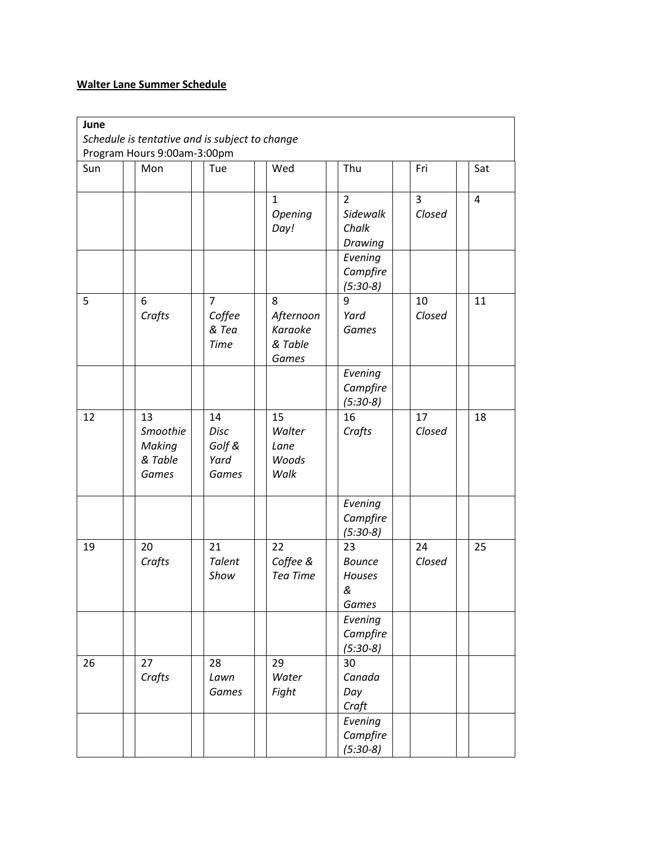## **Walter Lane Summer Schedule**

| June | Schedule is tentative and is subject to change |                                                  |                                               |                                                |              |                |
|------|------------------------------------------------|--------------------------------------------------|-----------------------------------------------|------------------------------------------------|--------------|----------------|
|      | Program Hours 9:00am-3:00pm                    |                                                  |                                               |                                                |              |                |
| Sun  | Mon                                            | Tue                                              | Wed                                           | Thu                                            | Fri          | Sat            |
|      |                                                |                                                  | $\mathbf{1}$<br>Opening<br>Day!               | $\overline{2}$<br>Sidewalk<br>Chalk<br>Drawing | 3<br>Closed  | $\overline{4}$ |
|      |                                                |                                                  |                                               | Evening<br>Campfire<br>$(5:30-8)$              |              |                |
| 5    | 6<br>Crafts                                    | $\overline{7}$<br>Coffee<br>& Tea<br><b>Time</b> | 8<br>Afternoon<br>Karaoke<br>& Table<br>Games | 9<br>Yard<br>Games                             | 10<br>Closed | 11             |
|      |                                                |                                                  |                                               | Evening<br>Campfire<br>$(5:30-8)$              |              |                |
| 12   | 13<br>Smoothie<br>Making<br>& Table<br>Games   | 14<br>Disc<br>Golf &<br>Yard<br>Games            | 15<br>Walter<br>Lane<br>Woods<br>Walk         | 16<br>Crafts                                   | 17<br>Closed | 18             |
|      |                                                |                                                  |                                               | Evening<br>Campfire<br>$(5:30-8)$              |              |                |
| 19   | 20<br>Crafts                                   | 21<br><b>Talent</b><br>Show                      | 22<br>Coffee &<br>Tea Time                    | 23<br><b>Bounce</b><br>Houses<br>&<br>Games    | 24<br>Closed | 25             |
|      |                                                |                                                  |                                               | Evening<br>Campfire<br>$(5:30-8)$              |              |                |
| 26   | 27<br>Crafts                                   | 28<br>Lawn<br>Games                              | 29<br>Water<br>Fight                          | 30<br>Canada<br>Day<br>Craft                   |              |                |
|      |                                                |                                                  |                                               | Evening<br>Campfire<br>$(5:30-8)$              |              |                |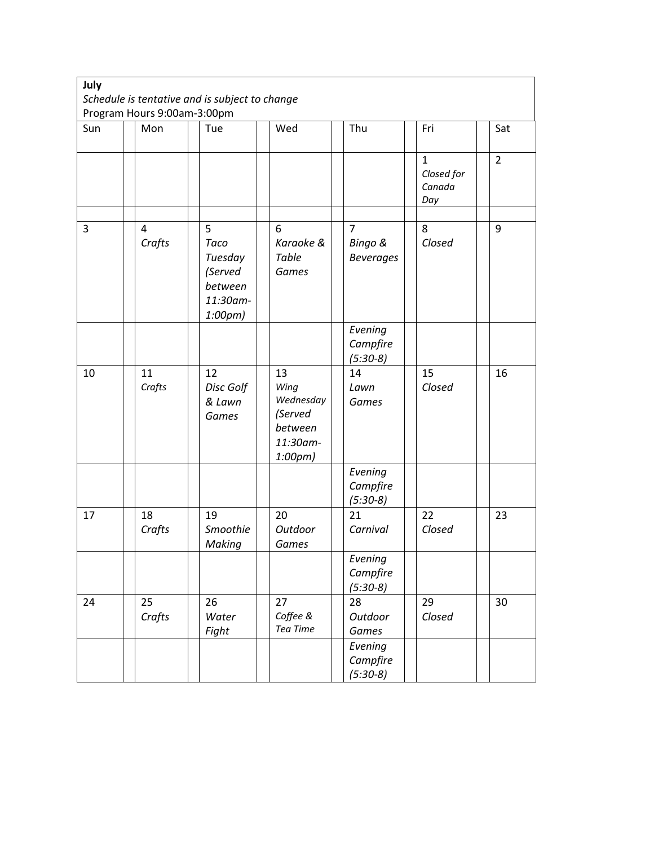| July |                             | Schedule is tentative and is subject to change                    |                                                                      |                                               |                                             |                |
|------|-----------------------------|-------------------------------------------------------------------|----------------------------------------------------------------------|-----------------------------------------------|---------------------------------------------|----------------|
|      | Program Hours 9:00am-3:00pm |                                                                   |                                                                      |                                               |                                             |                |
| Sun  | Mon                         | Tue                                                               | Wed                                                                  | Thu                                           | Fri                                         | Sat            |
|      |                             |                                                                   |                                                                      |                                               | $\mathbf{1}$<br>Closed for<br>Canada<br>Day | $\overline{2}$ |
| 3    | $\overline{4}$<br>Crafts    | 5<br>Taco<br>Tuesday<br>(Served<br>between<br>11:30am-<br>1:00pm) | 6<br>Karaoke &<br>Table<br>Games                                     | $\overline{7}$<br>Bingo &<br><b>Beverages</b> | 8<br>Closed                                 | 9              |
|      |                             |                                                                   |                                                                      | Evening<br>Campfire<br>$(5:30-8)$             |                                             |                |
| 10   | 11<br>Crafts                | 12<br>Disc Golf<br>& Lawn<br>Games                                | 13<br>Wing<br>Wednesday<br>(Served<br>between<br>11:30am-<br>1:00pm) | 14<br>Lawn<br>Games                           | 15<br>Closed                                | 16             |
|      |                             |                                                                   |                                                                      | Evening<br>Campfire<br>$(5:30-8)$             |                                             |                |
| 17   | 18<br>Crafts                | 19<br>Smoothie<br>Making                                          | 20<br>Outdoor<br>Games                                               | 21<br>Carnival                                | 22<br>Closed                                | 23             |
|      |                             |                                                                   |                                                                      | Evening<br>Campfire<br>$(5:30-8)$             |                                             |                |
| 24   | 25<br>Crafts                | 26<br>Water<br>Fight                                              | 27<br>Coffee &<br>Tea Time                                           | 28<br>Outdoor<br>Games                        | 29<br>Closed                                | 30             |
|      |                             |                                                                   |                                                                      | Evening<br>Campfire<br>$(5:30-8)$             |                                             |                |